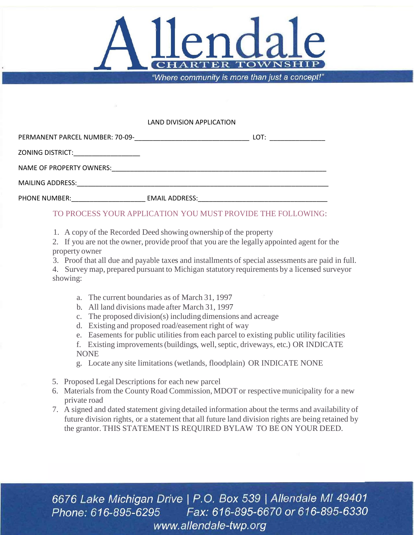

## LAND DIVISION APPLICATION

| PERMANENT PARCEL NUMBER: 70-09- |                       | LOT: |
|---------------------------------|-----------------------|------|
| ZONING DISTRICT:                |                       |      |
| NAME OF PROPERTY OWNERS:        |                       |      |
| <b>MAILING ADDRESS:</b>         |                       |      |
| PHONE NUMBER:                   | <b>EMAIL ADDRESS:</b> |      |

## TO PROCESS YOUR APPLICATION YOU MUST PROVIDE THE FOLLOWING:

1. A copy of the Recorded Deed showing ownership of the property

2. If you are not the owner, provide proof that you are the legally appointed agent for the property owner

3. Proof that all due and payable taxes and installments of special assessments are paid in full.

4. Survey map, prepared pursuant to Michigan statutory requirements by a licensed surveyor showing:

- a. The current boundaries as of March 31, 1997
- b. All land divisions made after March 31, 1997
- c. The proposed division(s) including dimensions and acreage
- d. Existing and proposed road/easement right of way
- e. Easements for public utilities from each parcel to existing public utility facilities
- f. Existing improvements(buildings, well,septic, driveways, etc.) OR INDICATE **NONE**
- g. Locate any site limitations (wetlands, floodplain) OR INDICATE NONE
- 5. Proposed Legal Descriptions for each new parcel
- 6. Materials from the CountyRoad Commission, MDOT or respective municipality for a new private road
- 7. A signed and dated statement giving detailed information about the terms and availability of future division rights, or a statement that all future land division rights are being retained by the grantor. THIS STATEMENT IS REQUIRED BYLAW TO BE ON YOUR DEED.

6676 Lake Michigan Drive | P.O. Box 539 | Allendale MI 49401 Phone: 616-895-6295 Fax: 616-895-6670 or 616-895-6330 www.allendale-twp.org